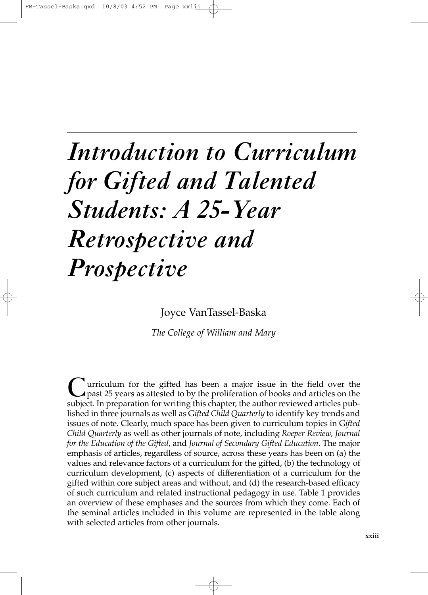# *Introduction to Curriculum for Gifted and Talented Students: A 25-Year Retrospective and Prospective*

Joyce VanTassel-Baska

*The College of William and Mary*

Curriculum for the gifted has been a major issue in the field over the past 25 years as attested to by the proliferation of books and articles on the political. It is approaching for providing this charge the position of p subject. In preparation for writing this chapter, the author reviewed articles published in three journals as well as G*ifted Child Quarterly* to identify key trends and issues of note. Clearly, much space has been given to curriculum topics in G*ifted Child Quarterly* as well as other journals of note, including *Roeper Review, Journal for the Education of the Gifted*, and *Journal of Secondary Gifted Education*. The major emphasis of articles, regardless of source, across these years has been on (a) the values and relevance factors of a curriculum for the gifted, (b) the technology of curriculum development, (c) aspects of differentiation of a curriculum for the gifted within core subject areas and without, and (d) the research-based efficacy of such curriculum and related instructional pedagogy in use. Table 1 provides an overview of these emphases and the sources from which they come. Each of the seminal articles included in this volume are represented in the table along with selected articles from other journals.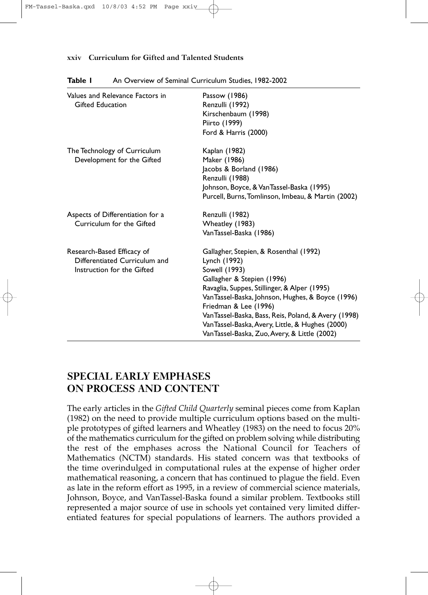#### **xxiv Curriculum for Gifted and Talented Students**

| Values and Relevance Factors in<br><b>Gifted Education</b>                                | Passow (1986)<br>Renzulli (1992)<br>Kirschenbaum (1998)<br>Piirto (1999)<br>Ford & Harris (2000)                                                                                                                                                                                                                                                                                                 |
|-------------------------------------------------------------------------------------------|--------------------------------------------------------------------------------------------------------------------------------------------------------------------------------------------------------------------------------------------------------------------------------------------------------------------------------------------------------------------------------------------------|
| The Technology of Curriculum<br>Development for the Gifted                                | Kaplan (1982)<br>Maker (1986)<br>Jacobs & Borland (1986)<br>Renzulli (1988)<br>Johnson, Boyce, & VanTassel-Baska (1995)<br>Purcell, Burns, Tomlinson, Imbeau, & Martin (2002)                                                                                                                                                                                                                    |
| Aspects of Differentiation for a<br>Curriculum for the Gifted                             | Renzulli (1982)<br>Wheatley (1983)<br>VanTassel-Baska (1986)                                                                                                                                                                                                                                                                                                                                     |
| Research-Based Efficacy of<br>Differentiated Curriculum and<br>Instruction for the Gifted | Gallagher, Stepien, & Rosenthal (1992)<br>Lynch (1992)<br>Sowell (1993)<br>Gallagher & Stepien (1996)<br>Ravaglia, Suppes, Stillinger, & Alper (1995)<br>Van Tassel-Baska, Johnson, Hughes, & Boyce (1996)<br>Friedman & Lee (1996)<br>Van Tassel-Baska, Bass, Reis, Poland, & Avery (1998)<br>Van Tassel-Baska, Avery, Little, & Hughes (2000)<br>Van Tassel-Baska, Zuo, Avery, & Little (2002) |

#### **Table I** An Overview of Seminal Curriculum Studies, 1982-2002

# **SPECIAL EARLY EMPHASES ON PROCESS AND CONTENT**

The early articles in the *Gifted Child Quarterly* seminal pieces come from Kaplan (1982) on the need to provide multiple curriculum options based on the multiple prototypes of gifted learners and Wheatley (1983) on the need to focus 20% of the mathematics curriculum for the gifted on problem solving while distributing the rest of the emphases across the National Council for Teachers of Mathematics (NCTM) standards. His stated concern was that textbooks of the time overindulged in computational rules at the expense of higher order mathematical reasoning, a concern that has continued to plague the field. Even as late in the reform effort as 1995, in a review of commercial science materials, Johnson, Boyce, and VanTassel-Baska found a similar problem. Textbooks still represented a major source of use in schools yet contained very limited differentiated features for special populations of learners. The authors provided a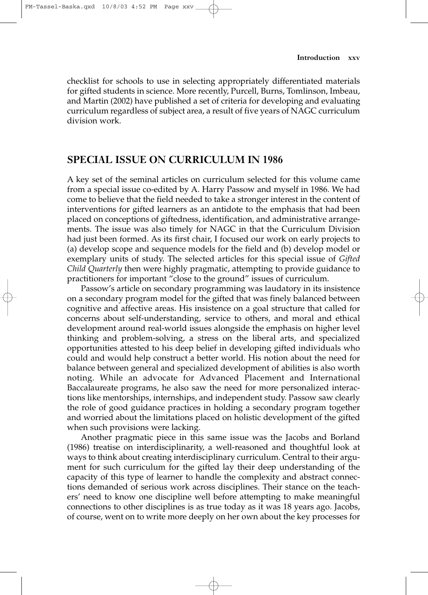checklist for schools to use in selecting appropriately differentiated materials for gifted students in science. More recently, Purcell, Burns, Tomlinson, Imbeau, and Martin (2002) have published a set of criteria for developing and evaluating curriculum regardless of subject area, a result of five years of NAGC curriculum division work.

## **SPECIAL ISSUE ON CURRICULUM IN 1986**

A key set of the seminal articles on curriculum selected for this volume came from a special issue co-edited by A. Harry Passow and myself in 1986. We had come to believe that the field needed to take a stronger interest in the content of interventions for gifted learners as an antidote to the emphasis that had been placed on conceptions of giftedness, identification, and administrative arrangements. The issue was also timely for NAGC in that the Curriculum Division had just been formed. As its first chair, I focused our work on early projects to (a) develop scope and sequence models for the field and (b) develop model or exemplary units of study. The selected articles for this special issue of *Gifted Child Quarterly* then were highly pragmatic, attempting to provide guidance to practitioners for important "close to the ground" issues of curriculum.

Passow's article on secondary programming was laudatory in its insistence on a secondary program model for the gifted that was finely balanced between cognitive and affective areas. His insistence on a goal structure that called for concerns about self-understanding, service to others, and moral and ethical development around real-world issues alongside the emphasis on higher level thinking and problem-solving, a stress on the liberal arts, and specialized opportunities attested to his deep belief in developing gifted individuals who could and would help construct a better world. His notion about the need for balance between general and specialized development of abilities is also worth noting. While an advocate for Advanced Placement and International Baccalaureate programs, he also saw the need for more personalized interactions like mentorships, internships, and independent study. Passow saw clearly the role of good guidance practices in holding a secondary program together and worried about the limitations placed on holistic development of the gifted when such provisions were lacking.

Another pragmatic piece in this same issue was the Jacobs and Borland (1986) treatise on interdisciplinarity, a well-reasoned and thoughtful look at ways to think about creating interdisciplinary curriculum. Central to their argument for such curriculum for the gifted lay their deep understanding of the capacity of this type of learner to handle the complexity and abstract connections demanded of serious work across disciplines. Their stance on the teachers' need to know one discipline well before attempting to make meaningful connections to other disciplines is as true today as it was 18 years ago. Jacobs, of course, went on to write more deeply on her own about the key processes for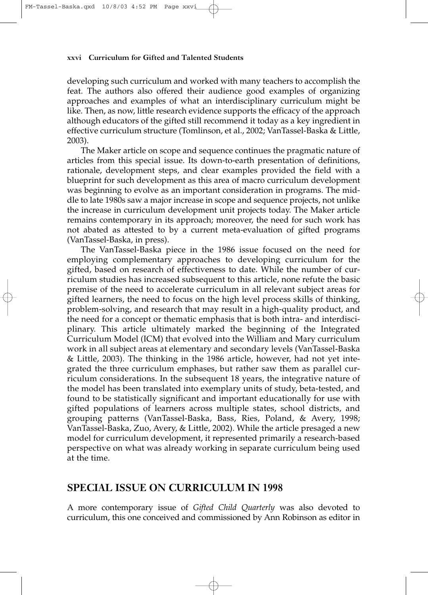#### **xxvi Curriculum for Gifted and Talented Students**

developing such curriculum and worked with many teachers to accomplish the feat. The authors also offered their audience good examples of organizing approaches and examples of what an interdisciplinary curriculum might be like. Then, as now, little research evidence supports the efficacy of the approach although educators of the gifted still recommend it today as a key ingredient in effective curriculum structure (Tomlinson, et al., 2002; VanTassel-Baska & Little, 2003).

The Maker article on scope and sequence continues the pragmatic nature of articles from this special issue. Its down-to-earth presentation of definitions, rationale, development steps, and clear examples provided the field with a blueprint for such development as this area of macro curriculum development was beginning to evolve as an important consideration in programs. The middle to late 1980s saw a major increase in scope and sequence projects, not unlike the increase in curriculum development unit projects today. The Maker article remains contemporary in its approach; moreover, the need for such work has not abated as attested to by a current meta-evaluation of gifted programs (VanTassel-Baska, in press).

The VanTassel-Baska piece in the 1986 issue focused on the need for employing complementary approaches to developing curriculum for the gifted, based on research of effectiveness to date. While the number of curriculum studies has increased subsequent to this article, none refute the basic premise of the need to accelerate curriculum in all relevant subject areas for gifted learners, the need to focus on the high level process skills of thinking, problem-solving, and research that may result in a high-quality product, and the need for a concept or thematic emphasis that is both intra- and interdisciplinary. This article ultimately marked the beginning of the Integrated Curriculum Model (ICM) that evolved into the William and Mary curriculum work in all subject areas at elementary and secondary levels (VanTassel-Baska & Little, 2003). The thinking in the 1986 article, however, had not yet integrated the three curriculum emphases, but rather saw them as parallel curriculum considerations. In the subsequent 18 years, the integrative nature of the model has been translated into exemplary units of study, beta-tested, and found to be statistically significant and important educationally for use with gifted populations of learners across multiple states, school districts, and grouping patterns (VanTassel-Baska, Bass, Ries, Poland, & Avery, 1998; VanTassel-Baska, Zuo, Avery, & Little, 2002). While the article presaged a new model for curriculum development, it represented primarily a research-based perspective on what was already working in separate curriculum being used at the time.

## **SPECIAL ISSUE ON CURRICULUM IN 1998**

A more contemporary issue of *Gifted Child Quarterly* was also devoted to curriculum, this one conceived and commissioned by Ann Robinson as editor in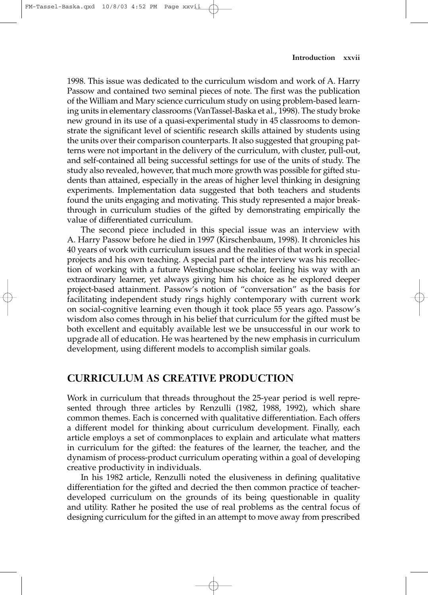1998. This issue was dedicated to the curriculum wisdom and work of A. Harry Passow and contained two seminal pieces of note. The first was the publication of the William and Mary science curriculum study on using problem-based learning units in elementary classrooms (VanTassel-Baska et al., 1998). The study broke new ground in its use of a quasi-experimental study in 45 classrooms to demonstrate the significant level of scientific research skills attained by students using the units over their comparison counterparts. It also suggested that grouping patterns were not important in the delivery of the curriculum, with cluster, pull-out, and self-contained all being successful settings for use of the units of study. The study also revealed, however, that much more growth was possible for gifted students than attained, especially in the areas of higher level thinking in designing experiments. Implementation data suggested that both teachers and students found the units engaging and motivating. This study represented a major breakthrough in curriculum studies of the gifted by demonstrating empirically the value of differentiated curriculum.

The second piece included in this special issue was an interview with A. Harry Passow before he died in 1997 (Kirschenbaum, 1998). It chronicles his 40 years of work with curriculum issues and the realities of that work in special projects and his own teaching. A special part of the interview was his recollection of working with a future Westinghouse scholar, feeling his way with an extraordinary learner, yet always giving him his choice as he explored deeper project-based attainment. Passow's notion of "conversation" as the basis for facilitating independent study rings highly contemporary with current work on social-cognitive learning even though it took place 55 years ago. Passow's wisdom also comes through in his belief that curriculum for the gifted must be both excellent and equitably available lest we be unsuccessful in our work to upgrade all of education. He was heartened by the new emphasis in curriculum development, using different models to accomplish similar goals.

## **CURRICULUM AS CREATIVE PRODUCTION**

Work in curriculum that threads throughout the 25-year period is well represented through three articles by Renzulli (1982, 1988, 1992), which share common themes. Each is concerned with qualitative differentiation. Each offers a different model for thinking about curriculum development. Finally, each article employs a set of commonplaces to explain and articulate what matters in curriculum for the gifted: the features of the learner, the teacher, and the dynamism of process-product curriculum operating within a goal of developing creative productivity in individuals.

In his 1982 article, Renzulli noted the elusiveness in defining qualitative differentiation for the gifted and decried the then common practice of teacherdeveloped curriculum on the grounds of its being questionable in quality and utility. Rather he posited the use of real problems as the central focus of designing curriculum for the gifted in an attempt to move away from prescribed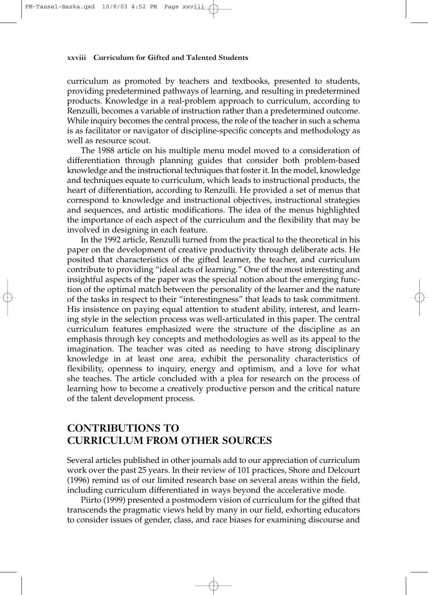#### **xxviii Curriculum for Gifted and Talented Students**

curriculum as promoted by teachers and textbooks, presented to students, providing predetermined pathways of learning, and resulting in predetermined products. Knowledge in a real-problem approach to curriculum, according to Renzulli, becomes a variable of instruction rather than a predetermined outcome. While inquiry becomes the central process, the role of the teacher in such a schema is as facilitator or navigator of discipline-specific concepts and methodology as well as resource scout.

The 1988 article on his multiple menu model moved to a consideration of differentiation through planning guides that consider both problem-based knowledge and the instructional techniques that foster it. In the model, knowledge and techniques equate to curriculum, which leads to instructional products, the heart of differentiation, according to Renzulli. He provided a set of menus that correspond to knowledge and instructional objectives, instructional strategies and sequences, and artistic modifications. The idea of the menus highlighted the importance of each aspect of the curriculum and the flexibility that may be involved in designing in each feature.

In the 1992 article, Renzulli turned from the practical to the theoretical in his paper on the development of creative productivity through deliberate acts. He posited that characteristics of the gifted learner, the teacher, and curriculum contribute to providing "ideal acts of learning." One of the most interesting and insightful aspects of the paper was the special notion about the emerging function of the optimal match between the personality of the learner and the nature of the tasks in respect to their "interestingness" that leads to task commitment. His insistence on paying equal attention to student ability, interest, and learning style in the selection process was well-articulated in this paper. The central curriculum features emphasized were the structure of the discipline as an emphasis through key concepts and methodologies as well as its appeal to the imagination. The teacher was cited as needing to have strong disciplinary knowledge in at least one area, exhibit the personality characteristics of flexibility, openness to inquiry, energy and optimism, and a love for what she teaches. The article concluded with a plea for research on the process of learning how to become a creatively productive person and the critical nature of the talent development process.

## **CONTRIBUTIONS TO CURRICULUM FROM OTHER SOURCES**

Several articles published in other journals add to our appreciation of curriculum work over the past 25 years. In their review of 101 practices, Shore and Delcourt (1996) remind us of our limited research base on several areas within the field, including curriculum differentiated in ways beyond the accelerative mode.

Piirto (1999) presented a postmodern vision of curriculum for the gifted that transcends the pragmatic views held by many in our field, exhorting educators to consider issues of gender, class, and race biases for examining discourse and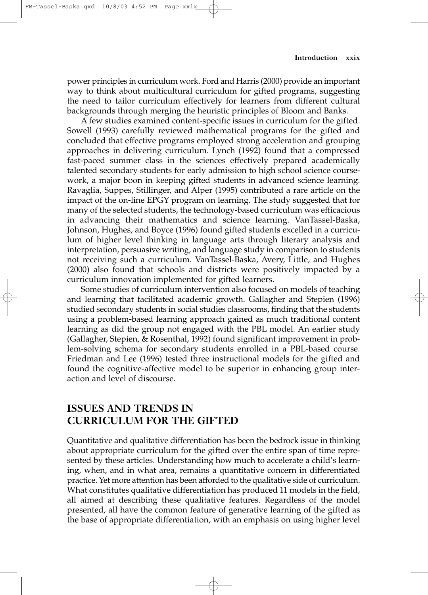power principles in curriculum work. Ford and Harris (2000) provide an important way to think about multicultural curriculum for gifted programs, suggesting the need to tailor curriculum effectively for learners from different cultural backgrounds through merging the heuristic principles of Bloom and Banks.

A few studies examined content-specific issues in curriculum for the gifted. Sowell (1993) carefully reviewed mathematical programs for the gifted and concluded that effective programs employed strong acceleration and grouping approaches in delivering curriculum. Lynch (1992) found that a compressed fast-paced summer class in the sciences effectively prepared academically talented secondary students for early admission to high school science coursework, a major boon in keeping gifted students in advanced science learning. Ravaglia, Suppes, Stillinger, and Alper (1995) contributed a rare article on the impact of the on-line EPGY program on learning. The study suggested that for many of the selected students, the technology-based curriculum was efficacious in advancing their mathematics and science learning. VanTassel-Baska, Johnson, Hughes, and Boyce (1996) found gifted students excelled in a curriculum of higher level thinking in language arts through literary analysis and interpretation, persuasive writing, and language study in comparison to students not receiving such a curriculum. VanTassel-Baska, Avery, Little, and Hughes (2000) also found that schools and districts were positively impacted by a curriculum innovation implemented for gifted learners.

Some studies of curriculum intervention also focused on models of teaching and learning that facilitated academic growth. Gallagher and Stepien (1996) studied secondary students in social studies classrooms, finding that the students using a problem-based learning approach gained as much traditional content learning as did the group not engaged with the PBL model. An earlier study (Gallagher, Stepien, & Rosenthal, 1992) found significant improvement in problem-solving schema for secondary students enrolled in a PBL-based course. Friedman and Lee (1996) tested three instructional models for the gifted and found the cognitive-affective model to be superior in enhancing group interaction and level of discourse.

## **ISSUES AND TRENDS IN CURRICULUM FOR THE GIFTED**

Quantitative and qualitative differentiation has been the bedrock issue in thinking about appropriate curriculum for the gifted over the entire span of time represented by these articles. Understanding how much to accelerate a child's learning, when, and in what area, remains a quantitative concern in differentiated practice. Yet more attention has been afforded to the qualitative side of curriculum. What constitutes qualitative differentiation has produced 11 models in the field, all aimed at describing these qualitative features. Regardless of the model presented, all have the common feature of generative learning of the gifted as the base of appropriate differentiation, with an emphasis on using higher level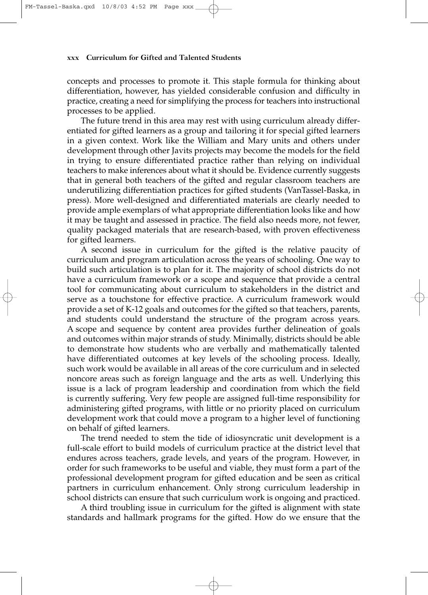#### **xxx Curriculum for Gifted and Talented Students**

concepts and processes to promote it. This staple formula for thinking about differentiation, however, has yielded considerable confusion and difficulty in practice, creating a need for simplifying the process for teachers into instructional processes to be applied.

The future trend in this area may rest with using curriculum already differentiated for gifted learners as a group and tailoring it for special gifted learners in a given context. Work like the William and Mary units and others under development through other Javits projects may become the models for the field in trying to ensure differentiated practice rather than relying on individual teachers to make inferences about what it should be. Evidence currently suggests that in general both teachers of the gifted and regular classroom teachers are underutilizing differentiation practices for gifted students (VanTassel-Baska, in press). More well-designed and differentiated materials are clearly needed to provide ample exemplars of what appropriate differentiation looks like and how it may be taught and assessed in practice. The field also needs more, not fewer, quality packaged materials that are research-based, with proven effectiveness for gifted learners.

A second issue in curriculum for the gifted is the relative paucity of curriculum and program articulation across the years of schooling. One way to build such articulation is to plan for it. The majority of school districts do not have a curriculum framework or a scope and sequence that provide a central tool for communicating about curriculum to stakeholders in the district and serve as a touchstone for effective practice. A curriculum framework would provide a set of K-12 goals and outcomes for the gifted so that teachers, parents, and students could understand the structure of the program across years. A scope and sequence by content area provides further delineation of goals and outcomes within major strands of study. Minimally, districts should be able to demonstrate how students who are verbally and mathematically talented have differentiated outcomes at key levels of the schooling process. Ideally, such work would be available in all areas of the core curriculum and in selected noncore areas such as foreign language and the arts as well. Underlying this issue is a lack of program leadership and coordination from which the field is currently suffering. Very few people are assigned full-time responsibility for administering gifted programs, with little or no priority placed on curriculum development work that could move a program to a higher level of functioning on behalf of gifted learners.

The trend needed to stem the tide of idiosyncratic unit development is a full-scale effort to build models of curriculum practice at the district level that endures across teachers, grade levels, and years of the program. However, in order for such frameworks to be useful and viable, they must form a part of the professional development program for gifted education and be seen as critical partners in curriculum enhancement. Only strong curriculum leadership in school districts can ensure that such curriculum work is ongoing and practiced.

A third troubling issue in curriculum for the gifted is alignment with state standards and hallmark programs for the gifted. How do we ensure that the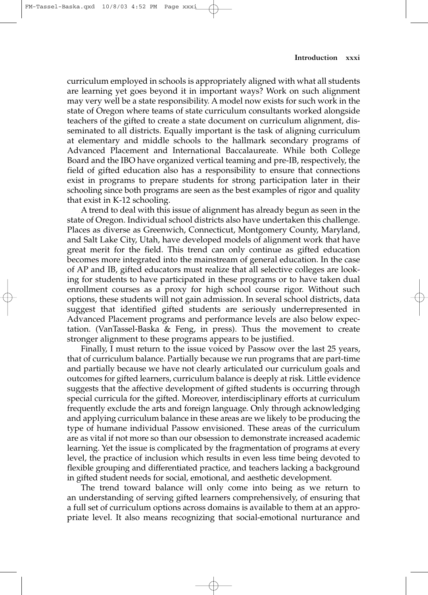curriculum employed in schools is appropriately aligned with what all students are learning yet goes beyond it in important ways? Work on such alignment may very well be a state responsibility. A model now exists for such work in the state of Oregon where teams of state curriculum consultants worked alongside teachers of the gifted to create a state document on curriculum alignment, disseminated to all districts. Equally important is the task of aligning curriculum at elementary and middle schools to the hallmark secondary programs of Advanced Placement and International Baccalaureate. While both College Board and the IBO have organized vertical teaming and pre-IB, respectively, the field of gifted education also has a responsibility to ensure that connections exist in programs to prepare students for strong participation later in their schooling since both programs are seen as the best examples of rigor and quality that exist in K-12 schooling.

A trend to deal with this issue of alignment has already begun as seen in the state of Oregon. Individual school districts also have undertaken this challenge. Places as diverse as Greenwich, Connecticut, Montgomery County, Maryland, and Salt Lake City, Utah, have developed models of alignment work that have great merit for the field. This trend can only continue as gifted education becomes more integrated into the mainstream of general education. In the case of AP and IB, gifted educators must realize that all selective colleges are looking for students to have participated in these programs or to have taken dual enrollment courses as a proxy for high school course rigor. Without such options, these students will not gain admission. In several school districts, data suggest that identified gifted students are seriously underrepresented in Advanced Placement programs and performance levels are also below expectation. (VanTassel-Baska & Feng, in press). Thus the movement to create stronger alignment to these programs appears to be justified.

Finally, I must return to the issue voiced by Passow over the last 25 years, that of curriculum balance. Partially because we run programs that are part-time and partially because we have not clearly articulated our curriculum goals and outcomes for gifted learners, curriculum balance is deeply at risk. Little evidence suggests that the affective development of gifted students is occurring through special curricula for the gifted. Moreover, interdisciplinary efforts at curriculum frequently exclude the arts and foreign language. Only through acknowledging and applying curriculum balance in these areas are we likely to be producing the type of humane individual Passow envisioned. These areas of the curriculum are as vital if not more so than our obsession to demonstrate increased academic learning. Yet the issue is complicated by the fragmentation of programs at every level, the practice of inclusion which results in even less time being devoted to flexible grouping and differentiated practice, and teachers lacking a background in gifted student needs for social, emotional, and aesthetic development.

The trend toward balance will only come into being as we return to an understanding of serving gifted learners comprehensively, of ensuring that a full set of curriculum options across domains is available to them at an appropriate level. It also means recognizing that social-emotional nurturance and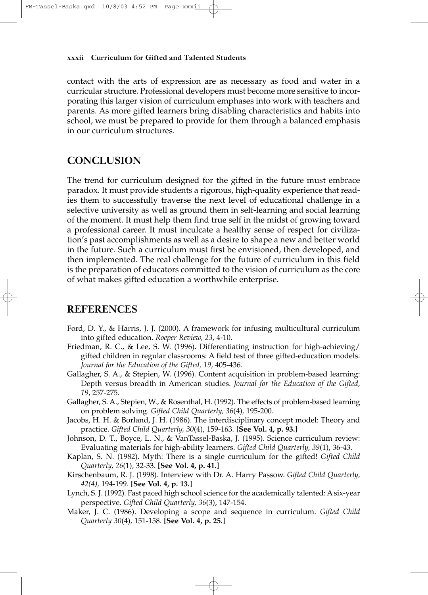#### **xxxii Curriculum for Gifted and Talented Students**

contact with the arts of expression are as necessary as food and water in a curricular structure. Professional developers must become more sensitive to incorporating this larger vision of curriculum emphases into work with teachers and parents. As more gifted learners bring disabling characteristics and habits into school, we must be prepared to provide for them through a balanced emphasis in our curriculum structures.

## **CONCLUSION**

The trend for curriculum designed for the gifted in the future must embrace paradox. It must provide students a rigorous, high-quality experience that readies them to successfully traverse the next level of educational challenge in a selective university as well as ground them in self-learning and social learning of the moment. It must help them find true self in the midst of growing toward a professional career. It must inculcate a healthy sense of respect for civilization's past accomplishments as well as a desire to shape a new and better world in the future. Such a curriculum must first be envisioned, then developed, and then implemented. The real challenge for the future of curriculum in this field is the preparation of educators committed to the vision of curriculum as the core of what makes gifted education a worthwhile enterprise.

### **REFERENCES**

- Ford, D. Y., & Harris, J. J. (2000). A framework for infusing multicultural curriculum into gifted education. *Roeper Review, 23*, 4-10.
- Friedman, R. C., & Lee, S. W. (1996). Differentiating instruction for high-achieving/ gifted children in regular classrooms: A field test of three gifted-education models. *Journal for the Education of the Gifted, 19*, 405-436.
- Gallagher, S. A., & Stepien, W. (1996). Content acquisition in problem-based learning: Depth versus breadth in American studies. *Journal for the Education of the Gifted, 19*, 257-275.
- Gallagher, S. A., Stepien, W., & Rosenthal, H. (1992). The effects of problem-based learning on problem solving. *Gifted Child Quarterly, 36*(4)*,* 195-200.
- Jacobs, H. H. & Borland, J. H. (1986). The interdisciplinary concept model: Theory and practice. *Gifted Child Quarterly, 30*(4), 159-163. **[See Vol. 4, p. 93.]**
- Johnson, D. T., Boyce, L. N., & VanTassel-Baska, J. (1995). Science curriculum review: Evaluating materials for high-ability learners. *Gifted Child Quarterly, 39*(1), 36-43.
- Kaplan, S. N. (1982). Myth: There is a single curriculum for the gifted! *Gifted Child Quarterly, 26*(1)*,* 32-33. **[See Vol. 4, p. 41.]**
- Kirschenbaum, R. J. (1998). Interview with Dr. A. Harry Passow. *Gifted Child Quarterly, 42(4),* 194-199. **[See Vol. 4, p. 13.]**
- Lynch, S. J. (1992). Fast paced high school science for the academically talented: A six-year perspective. *Gifted Child Quarterly, 36*(3), 147-154.
- Maker, J. C. (1986). Developing a scope and sequence in curriculum. *Gifted Child Quarterly 30*(4)*,* 151-158. **[See Vol. 4, p. 25.]**